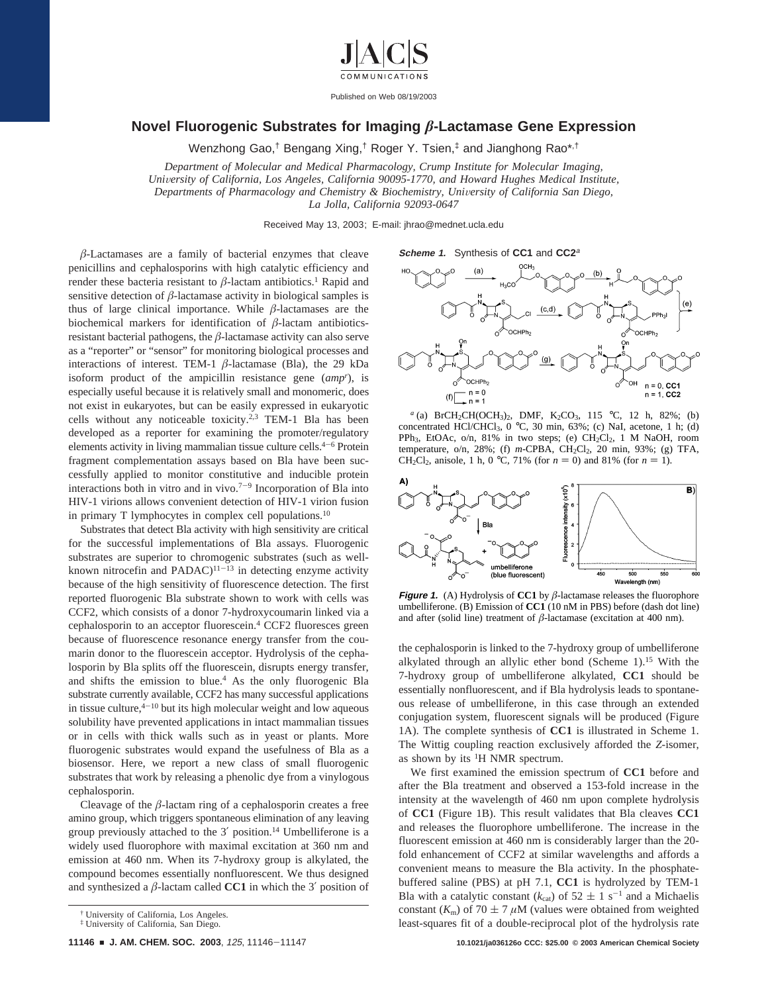

Published on Web 08/19/2003

## **Novel Fluorogenic Substrates for Imaging** *â***-Lactamase Gene Expression**

Wenzhong Gao,† Bengang Xing,† Roger Y. Tsien,‡ and Jianghong Rao\*,†

*Department of Molecular and Medical Pharmacology, Crump Institute for Molecular Imaging, Uni*V*ersity of California, Los Angeles, California 90095-1770, and Howard Hughes Medical Institute, Departments of Pharmacology and Chemistry & Biochemistry, University of California San Diego, La Jolla, California 92093-0647*

Received May 13, 2003; E-mail: jhrao@mednet.ucla.edu

 $$\beta$ -Lactamases are a family of bacterial enzymes that cleave$ penicillins and cephalosporins with high catalytic efficiency and render these bacteria resistant to  $\beta$ -lactam antibiotics.<sup>1</sup> Rapid and sensitive detection of  $\beta$ -lactamase activity in biological samples is thus of large clinical importance. While *â*-lactamases are the biochemical markers for identification of *â*-lactam antibioticsresistant bacterial pathogens, the *â*-lactamase activity can also serve as a "reporter" or "sensor" for monitoring biological processes and interactions of interest. TEM-1 *â*-lactamase (Bla), the 29 kDa isoform product of the ampicillin resistance gene (*ampr* ), is especially useful because it is relatively small and monomeric, does not exist in eukaryotes, but can be easily expressed in eukaryotic cells without any noticeable toxicity.2,3 TEM-1 Bla has been developed as a reporter for examining the promoter/regulatory elements activity in living mammalian tissue culture cells.<sup>4-6</sup> Protein fragment complementation assays based on Bla have been successfully applied to monitor constitutive and inducible protein interactions both in vitro and in vivo.<sup> $7-9$ </sup> Incorporation of Bla into HIV-1 virions allows convenient detection of HIV-1 virion fusion in primary T lymphocytes in complex cell populations.10

Substrates that detect Bla activity with high sensitivity are critical for the successful implementations of Bla assays. Fluorogenic substrates are superior to chromogenic substrates (such as wellknown nitrocefin and PADAC) $11-13$  in detecting enzyme activity because of the high sensitivity of fluorescence detection. The first reported fluorogenic Bla substrate shown to work with cells was CCF2, which consists of a donor 7-hydroxycoumarin linked via a cephalosporin to an acceptor fluorescein.4 CCF2 fluoresces green because of fluorescence resonance energy transfer from the coumarin donor to the fluorescein acceptor. Hydrolysis of the cephalosporin by Bla splits off the fluorescein, disrupts energy transfer, and shifts the emission to blue.4 As the only fluorogenic Bla substrate currently available, CCF2 has many successful applications in tissue culture, $4-10$  but its high molecular weight and low aqueous solubility have prevented applications in intact mammalian tissues or in cells with thick walls such as in yeast or plants. More fluorogenic substrates would expand the usefulness of Bla as a biosensor. Here, we report a new class of small fluorogenic substrates that work by releasing a phenolic dye from a vinylogous cephalosporin.

Cleavage of the *â*-lactam ring of a cephalosporin creates a free amino group, which triggers spontaneous elimination of any leaving group previously attached to the 3′ position.14 Umbelliferone is a widely used fluorophore with maximal excitation at 360 nm and emission at 460 nm. When its 7-hydroxy group is alkylated, the compound becomes essentially nonfluorescent. We thus designed and synthesized a  $\beta$ -lactam called **CC1** in which the 3' position of

**<sup>11146</sup>** <sup>9</sup> **J. AM. CHEM. SOC. 2003**, <sup>125</sup>, 11146-<sup>11147</sup> **10.1021/ja036126o CCC: \$25.00 © 2003 American Chemical Society**

**Scheme 1.** Synthesis of **CC1** and **CC2**<sup>a</sup>



*a* (a) BrCH<sub>2</sub>CH(OCH<sub>3</sub>)<sub>2</sub>, DMF, K<sub>2</sub>CO<sub>3</sub>, 115 °C, 12 h, 82%; (b) concentrated HCl/CHCl<sub>3</sub>, 0 °C, 30 min, 63%; (c) NaI, acetone, 1 h; (d) PPh<sub>3</sub>, EtOAc, o/n, 81% in two steps; (e)  $CH_2Cl_2$ , 1 M NaOH, room temperature, o/n, 28%; (f) *m*-CPBA, CH<sub>2</sub>Cl<sub>2</sub>, 20 min, 93%; (g) TFA, CH<sub>2</sub>Cl<sub>2</sub>, anisole, 1 h, 0 °C, 71% (for  $n = 0$ ) and 81% (for  $n = 1$ ).



**Figure 1.** (A) Hydrolysis of **CC1** by  $\beta$ -lactamase releases the fluorophore umbelliferone. (B) Emission of **CC1** (10 nM in PBS) before (dash dot line) and after (solid line) treatment of  $\beta$ -lactamase (excitation at 400 nm).

the cephalosporin is linked to the 7-hydroxy group of umbelliferone alkylated through an allylic ether bond (Scheme 1).15 With the 7-hydroxy group of umbelliferone alkylated, **CC1** should be essentially nonfluorescent, and if Bla hydrolysis leads to spontaneous release of umbelliferone, in this case through an extended conjugation system, fluorescent signals will be produced (Figure 1A). The complete synthesis of **CC1** is illustrated in Scheme 1. The Wittig coupling reaction exclusively afforded the *Z*-isomer, as shown by its 1H NMR spectrum.

We first examined the emission spectrum of **CC1** before and after the Bla treatment and observed a 153-fold increase in the intensity at the wavelength of 460 nm upon complete hydrolysis of **CC1** (Figure 1B). This result validates that Bla cleaves **CC1** and releases the fluorophore umbelliferone. The increase in the fluorescent emission at 460 nm is considerably larger than the 20 fold enhancement of CCF2 at similar wavelengths and affords a convenient means to measure the Bla activity. In the phosphatebuffered saline (PBS) at pH 7.1, **CC1** is hydrolyzed by TEM-1 Bla with a catalytic constant ( $k_{cat}$ ) of 52  $\pm$  1 s<sup>-1</sup> and a Michaelis constant ( $K_m$ ) of 70  $\pm$  7  $\mu$ M (values were obtained from weighted least-squares fit of a double-reciprocal plot of the hydrolysis rate

<sup>†</sup> University of California, Los Angeles.

<sup>‡</sup> University of California, San Diego.